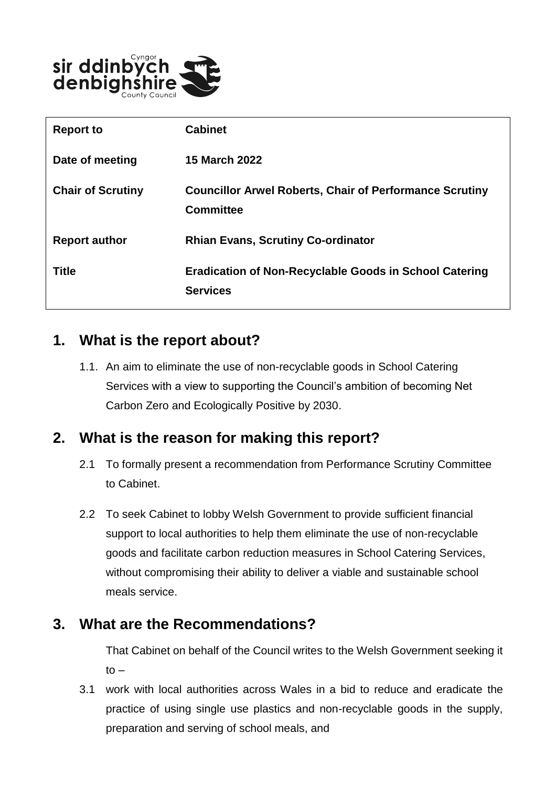

| <b>Report to</b>         | <b>Cabinet</b>                                                                     |
|--------------------------|------------------------------------------------------------------------------------|
| Date of meeting          | <b>15 March 2022</b>                                                               |
| <b>Chair of Scrutiny</b> | <b>Councillor Arwel Roberts, Chair of Performance Scrutiny</b><br><b>Committee</b> |
| <b>Report author</b>     | <b>Rhian Evans, Scrutiny Co-ordinator</b>                                          |
| <b>Title</b>             | <b>Eradication of Non-Recyclable Goods in School Catering</b><br><b>Services</b>   |

#### **1. What is the report about?**

1.1. An aim to eliminate the use of non-recyclable goods in School Catering Services with a view to supporting the Council's ambition of becoming Net Carbon Zero and Ecologically Positive by 2030.

## **2. What is the reason for making this report?**

- 2.1 To formally present a recommendation from Performance Scrutiny Committee to Cabinet.
- 2.2 To seek Cabinet to lobby Welsh Government to provide sufficient financial support to local authorities to help them eliminate the use of non-recyclable goods and facilitate carbon reduction measures in School Catering Services, without compromising their ability to deliver a viable and sustainable school meals service.

#### **3. What are the Recommendations?**

That Cabinet on behalf of the Council writes to the Welsh Government seeking it to –

3.1 work with local authorities across Wales in a bid to reduce and eradicate the practice of using single use plastics and non-recyclable goods in the supply, preparation and serving of school meals, and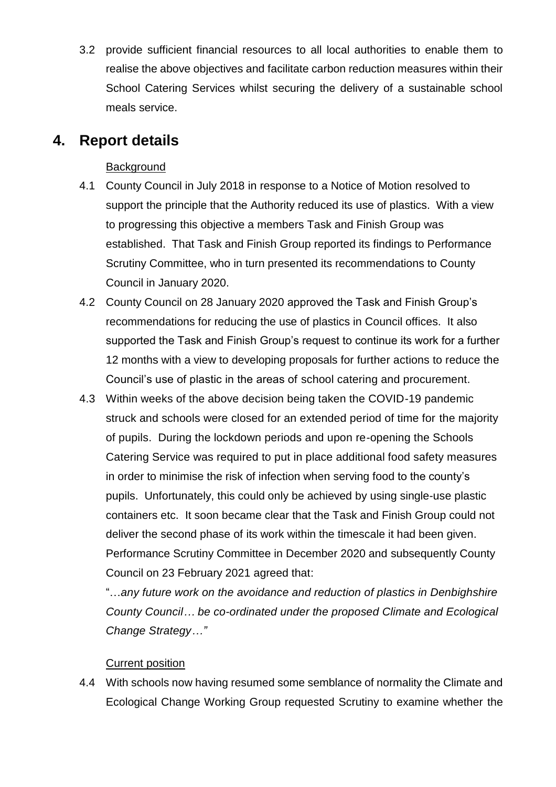3.2 provide sufficient financial resources to all local authorities to enable them to realise the above objectives and facilitate carbon reduction measures within their School Catering Services whilst securing the delivery of a sustainable school meals service.

#### **4. Report details**

#### **Background**

- 4.1 County Council in July 2018 in response to a Notice of Motion resolved to support the principle that the Authority reduced its use of plastics. With a view to progressing this objective a members Task and Finish Group was established. That Task and Finish Group reported its findings to Performance Scrutiny Committee, who in turn presented its recommendations to County Council in January 2020.
- 4.2 County Council on 28 January 2020 approved the Task and Finish Group's recommendations for reducing the use of plastics in Council offices. It also supported the Task and Finish Group's request to continue its work for a further 12 months with a view to developing proposals for further actions to reduce the Council's use of plastic in the areas of school catering and procurement.
- 4.3 Within weeks of the above decision being taken the COVID-19 pandemic struck and schools were closed for an extended period of time for the majority of pupils. During the lockdown periods and upon re-opening the Schools Catering Service was required to put in place additional food safety measures in order to minimise the risk of infection when serving food to the county's pupils. Unfortunately, this could only be achieved by using single-use plastic containers etc. It soon became clear that the Task and Finish Group could not deliver the second phase of its work within the timescale it had been given. Performance Scrutiny Committee in December 2020 and subsequently County Council on 23 February 2021 agreed that:

"…*any future work on the avoidance and reduction of plastics in Denbighshire County Council… be co-ordinated under the proposed Climate and Ecological Change Strategy…"*

#### Current position

4.4 With schools now having resumed some semblance of normality the Climate and Ecological Change Working Group requested Scrutiny to examine whether the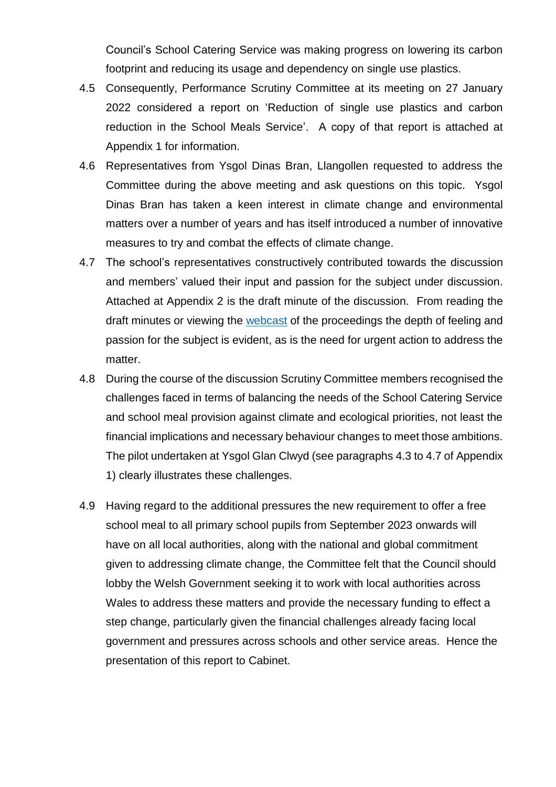Council's School Catering Service was making progress on lowering its carbon footprint and reducing its usage and dependency on single use plastics.

- 4.5 Consequently, Performance Scrutiny Committee at its meeting on 27 January 2022 considered a report on 'Reduction of single use plastics and carbon reduction in the School Meals Service'. A copy of that report is attached at Appendix 1 for information.
- 4.6 Representatives from Ysgol Dinas Bran, Llangollen requested to address the Committee during the above meeting and ask questions on this topic. Ysgol Dinas Bran has taken a keen interest in climate change and environmental matters over a number of years and has itself introduced a number of innovative measures to try and combat the effects of climate change.
- 4.7 The school's representatives constructively contributed towards the discussion and members' valued their input and passion for the subject under discussion. Attached at Appendix 2 is the draft minute of the discussion. From reading the draft minutes or viewing the [webcast](https://denbighshire.public-i.tv/core/portal/webcast_interactive/639930/start_time/4591000) of the proceedings the depth of feeling and passion for the subject is evident, as is the need for urgent action to address the matter.
- 4.8 During the course of the discussion Scrutiny Committee members recognised the challenges faced in terms of balancing the needs of the School Catering Service and school meal provision against climate and ecological priorities, not least the financial implications and necessary behaviour changes to meet those ambitions. The pilot undertaken at Ysgol Glan Clwyd (see paragraphs 4.3 to 4.7 of Appendix 1) clearly illustrates these challenges.
- 4.9 Having regard to the additional pressures the new requirement to offer a free school meal to all primary school pupils from September 2023 onwards will have on all local authorities, along with the national and global commitment given to addressing climate change, the Committee felt that the Council should lobby the Welsh Government seeking it to work with local authorities across Wales to address these matters and provide the necessary funding to effect a step change, particularly given the financial challenges already facing local government and pressures across schools and other service areas. Hence the presentation of this report to Cabinet.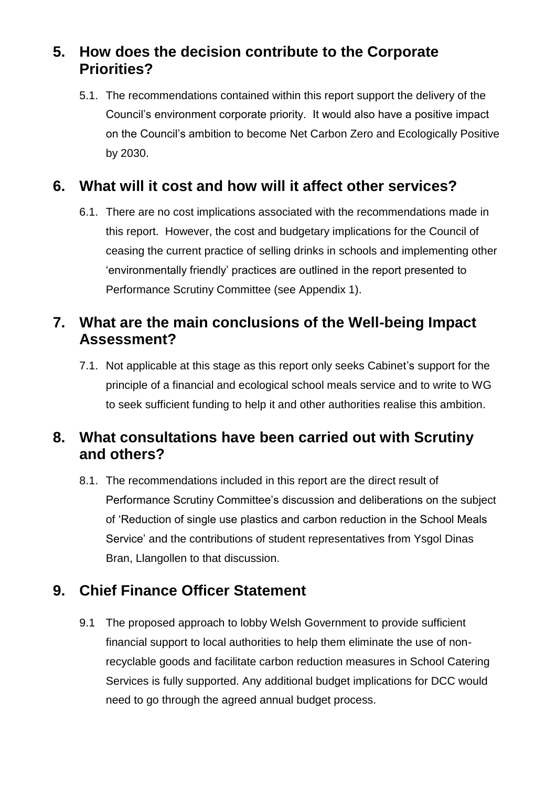## **5. How does the decision contribute to the Corporate Priorities?**

5.1. The recommendations contained within this report support the delivery of the Council's environment corporate priority. It would also have a positive impact on the Council's ambition to become Net Carbon Zero and Ecologically Positive by 2030.

## **6. What will it cost and how will it affect other services?**

6.1. There are no cost implications associated with the recommendations made in this report. However, the cost and budgetary implications for the Council of ceasing the current practice of selling drinks in schools and implementing other 'environmentally friendly' practices are outlined in the report presented to Performance Scrutiny Committee (see Appendix 1).

## **7. What are the main conclusions of the Well-being Impact Assessment?**

7.1. Not applicable at this stage as this report only seeks Cabinet's support for the principle of a financial and ecological school meals service and to write to WG to seek sufficient funding to help it and other authorities realise this ambition.

## **8. What consultations have been carried out with Scrutiny and others?**

8.1. The recommendations included in this report are the direct result of Performance Scrutiny Committee's discussion and deliberations on the subject of 'Reduction of single use plastics and carbon reduction in the School Meals Service' and the contributions of student representatives from Ysgol Dinas Bran, Llangollen to that discussion.

# **9. Chief Finance Officer Statement**

9.1 The proposed approach to lobby Welsh Government to provide sufficient financial support to local authorities to help them eliminate the use of nonrecyclable goods and facilitate carbon reduction measures in School Catering Services is fully supported. Any additional budget implications for DCC would need to go through the agreed annual budget process.